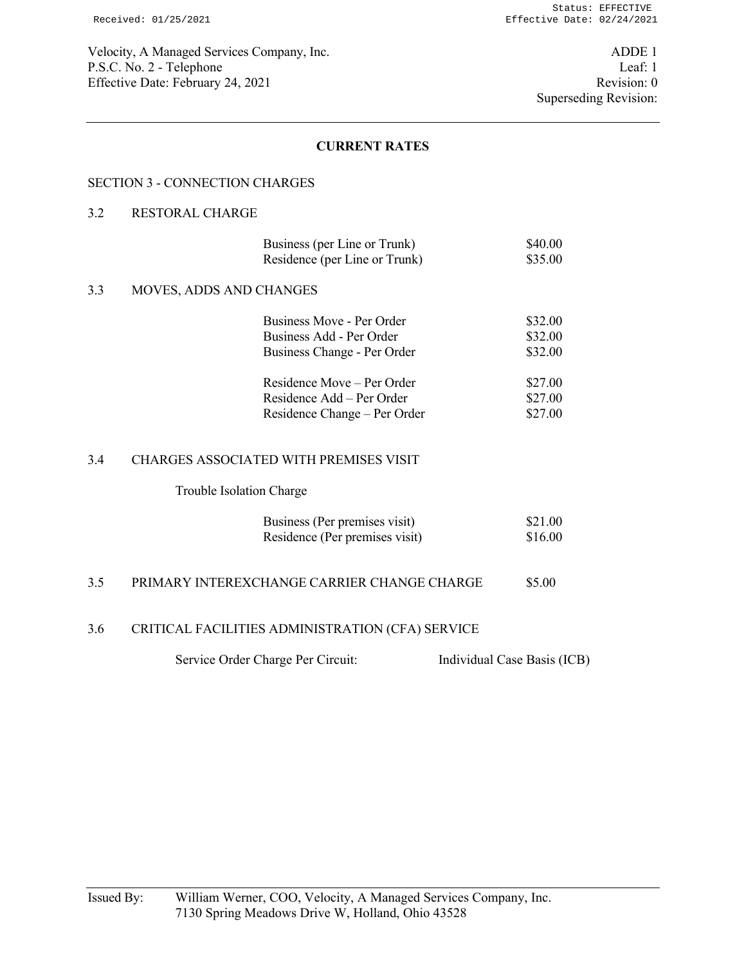## **CURRENT RATES**

## SECTION 3 - CONNECTION CHARGES

## 3.2 RESTORAL CHARGE

| Business (per Line or Trunk)  | \$40.00 |
|-------------------------------|---------|
| Residence (per Line or Trunk) | \$35.00 |

#### 3.3 MOVES, ADDS AND CHANGES

| Business Move - Per Order    | \$32.00 |
|------------------------------|---------|
| Business Add - Per Order     | \$32.00 |
| Business Change - Per Order  | \$32.00 |
|                              |         |
| Residence Move – Per Order   | \$27.00 |
| Residence Add – Per Order    | \$27.00 |
| Residence Change – Per Order | \$27.00 |

#### 3.4 CHARGES ASSOCIATED WITH PREMISES VISIT

#### Trouble Isolation Charge

| Business (Per premises visit)  | \$21.00 |
|--------------------------------|---------|
| Residence (Per premises visit) | \$16.00 |

## 3.5 PRIMARY INTEREXCHANGE CARRIER CHANGE CHARGE \$5.00

## 3.6 CRITICAL FACILITIES ADMINISTRATION (CFA) SERVICE

Service Order Charge Per Circuit: Individual Case Basis (ICB)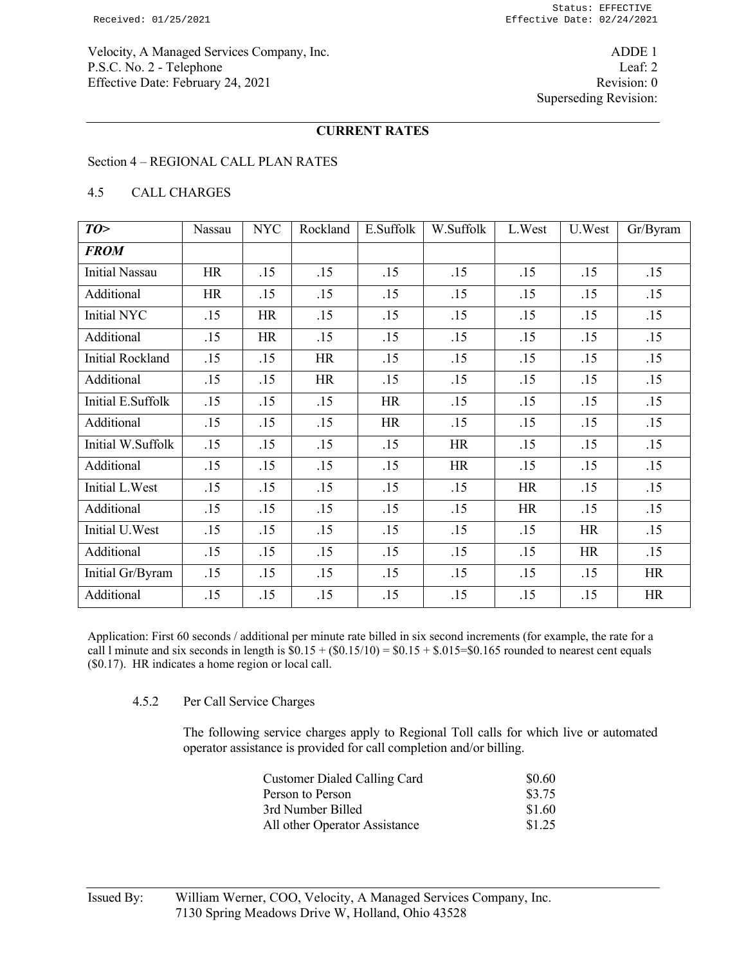Velocity, A Managed Services Company, Inc. ADDE 1 P.S.C. No. 2 - Telephone Leaf: 2 Effective Date: February 24, 2021 Revision: 0

# **CURRENT RATES**

### Section 4 – REGIONAL CALL PLAN RATES

### 4.5 CALL CHARGES

| TO>                     | Nassau    | <b>NYC</b> | Rockland  | E.Suffolk | W.Suffolk | L.West    | U.West    | Gr/Byram  |
|-------------------------|-----------|------------|-----------|-----------|-----------|-----------|-----------|-----------|
| <b>FROM</b>             |           |            |           |           |           |           |           |           |
| <b>Initial Nassau</b>   | <b>HR</b> | .15        | .15       | .15       | .15       | .15       | .15       | .15       |
| Additional              | <b>HR</b> | .15        | .15       | .15       | .15       | .15       | .15       | .15       |
| Initial NYC             | .15       | <b>HR</b>  | .15       | .15       | .15       | .15       | .15       | .15       |
| Additional              | .15       | <b>HR</b>  | .15       | .15       | .15       | .15       | .15       | .15       |
| <b>Initial Rockland</b> | .15       | .15        | <b>HR</b> | .15       | .15       | .15       | .15       | .15       |
| Additional              | .15       | .15        | <b>HR</b> | .15       | .15       | .15       | .15       | .15       |
| Initial E.Suffolk       | .15       | .15        | .15       | HR        | .15       | .15       | .15       | .15       |
| Additional              | .15       | .15        | .15       | HR        | .15       | .15       | .15       | .15       |
| Initial W.Suffolk       | .15       | .15        | .15       | .15       | <b>HR</b> | .15       | .15       | .15       |
| Additional              | .15       | .15        | .15       | .15       | <b>HR</b> | .15       | .15       | .15       |
| Initial L.West          | .15       | .15        | .15       | .15       | .15       | <b>HR</b> | .15       | .15       |
| Additional              | .15       | .15        | .15       | .15       | .15       | <b>HR</b> | .15       | .15       |
| Initial U.West          | .15       | .15        | .15       | .15       | .15       | .15       | <b>HR</b> | .15       |
| Additional              | .15       | .15        | .15       | .15       | .15       | .15       | <b>HR</b> | .15       |
| Initial Gr/Byram        | .15       | .15        | .15       | .15       | .15       | .15       | .15       | <b>HR</b> |
| Additional              | .15       | .15        | .15       | .15       | .15       | .15       | .15       | <b>HR</b> |

Application: First 60 seconds / additional per minute rate billed in six second increments (for example, the rate for a call 1 minute and six seconds in length is  $\$0.15 + (\$0.15/10) = \$0.15 + \$.015 = \$0.165$  rounded to nearest cent equals (\$0.17). HR indicates a home region or local call.

#### 4.5.2 Per Call Service Charges

 The following service charges apply to Regional Toll calls for which live or automated operator assistance is provided for call completion and/or billing.

| <b>Customer Dialed Calling Card</b> | \$0.60 |
|-------------------------------------|--------|
| Person to Person                    | \$3.75 |
| 3rd Number Billed                   | \$1.60 |
| All other Operator Assistance       | \$1.25 |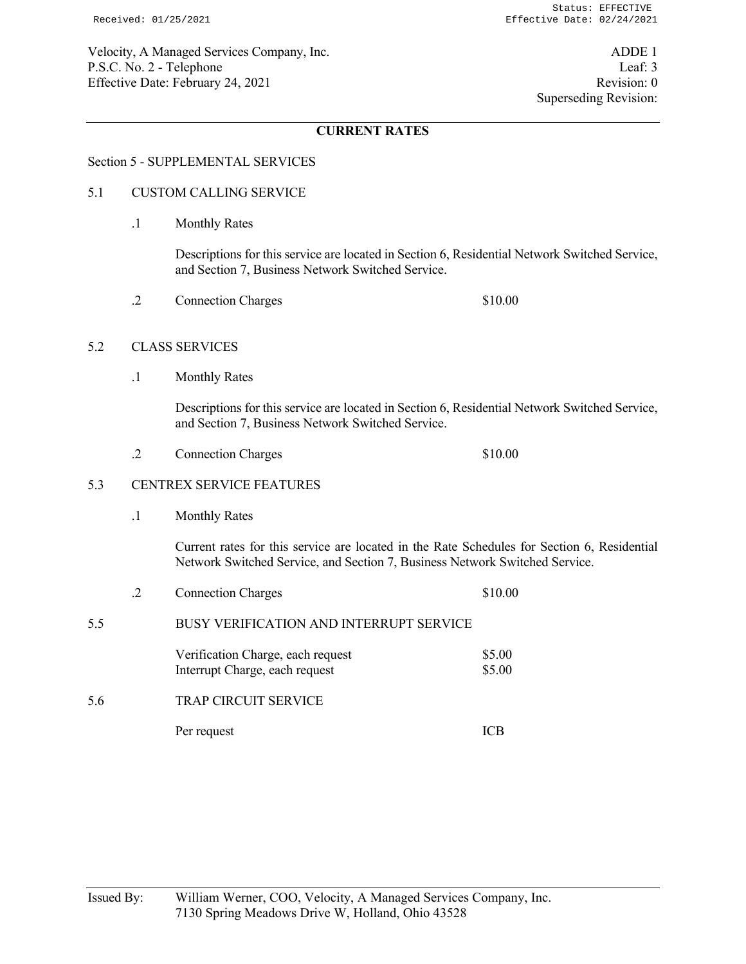Velocity, A Managed Services Company, Inc. ADDE 1 P.S.C. No. 2 - Telephone Leaf: 3 Effective Date: February 24, 2021 Revision: 0

# **CURRENT RATES**

## Section 5 - SUPPLEMENTAL SERVICES

## 5.1 CUSTOM CALLING SERVICE

.1 Monthly Rates

 Descriptions for this service are located in Section 6, Residential Network Switched Service, and Section 7, Business Network Switched Service.

.2 Connection Charges \$10.00

#### 5.2 CLASS SERVICES

.1 Monthly Rates

 Descriptions for this service are located in Section 6, Residential Network Switched Service, and Section 7, Business Network Switched Service.

.2 Connection Charges \$10.00

## 5.3 CENTREX SERVICE FEATURES

.1 Monthly Rates

 Current rates for this service are located in the Rate Schedules for Section 6, Residential Network Switched Service, and Section 7, Business Network Switched Service.

- .2 Connection Charges \$10.00
- 5.5 BUSY VERIFICATION AND INTERRUPT SERVICE

| Verification Charge, each request | \$5.00 |
|-----------------------------------|--------|
| Interrupt Charge, each request    | \$5.00 |

5.6 TRAP CIRCUIT SERVICE

Per request ICB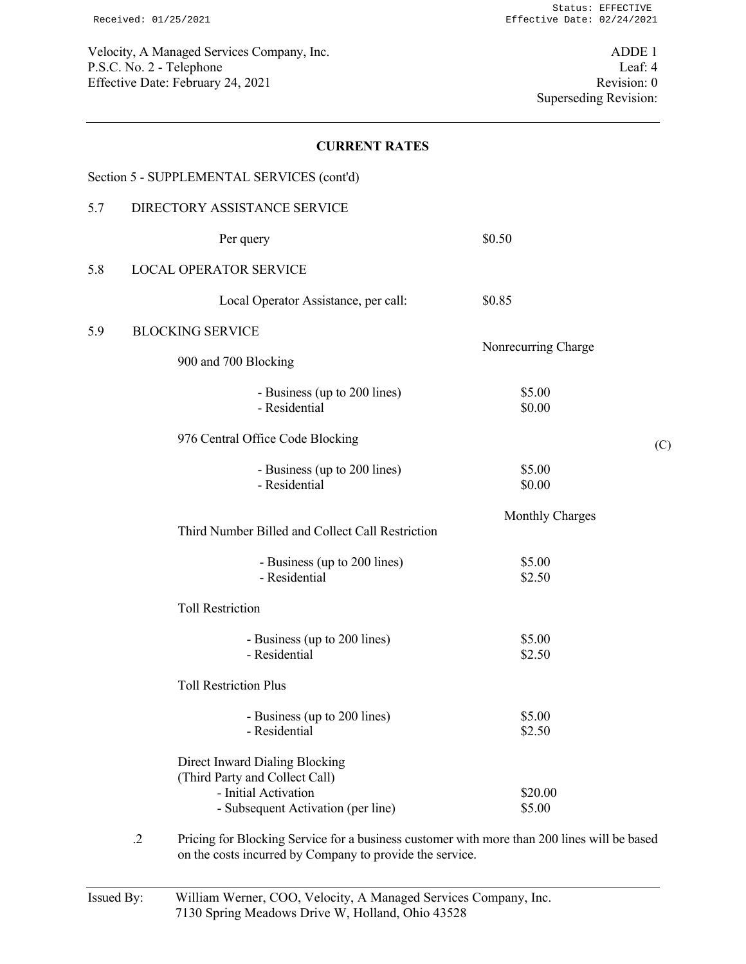Velocity, A Managed Services Company, Inc. ADDE 1 P.S.C. No. 2 - Telephone Leaf: 4<br>Effective Date: February 24, 2021 Effective Date: February 24, 2021

## **CURRENT RATES**

|     | Section 5 - SUPPLEMENTAL SERVICES (cont'd)                                                                                     |                     |     |
|-----|--------------------------------------------------------------------------------------------------------------------------------|---------------------|-----|
| 5.7 | DIRECTORY ASSISTANCE SERVICE                                                                                                   |                     |     |
|     | Per query                                                                                                                      | \$0.50              |     |
| 5.8 | <b>LOCAL OPERATOR SERVICE</b>                                                                                                  |                     |     |
|     | Local Operator Assistance, per call:                                                                                           | \$0.85              |     |
| 5.9 | <b>BLOCKING SERVICE</b>                                                                                                        |                     |     |
|     | 900 and 700 Blocking                                                                                                           | Nonrecurring Charge |     |
|     | - Business (up to 200 lines)<br>- Residential                                                                                  | \$5.00<br>\$0.00    |     |
|     | 976 Central Office Code Blocking                                                                                               |                     | (C) |
|     | - Business (up to 200 lines)<br>- Residential                                                                                  | \$5.00<br>\$0.00    |     |
|     | Third Number Billed and Collect Call Restriction                                                                               | Monthly Charges     |     |
|     | - Business (up to 200 lines)<br>- Residential                                                                                  | \$5.00<br>\$2.50    |     |
|     | <b>Toll Restriction</b>                                                                                                        |                     |     |
|     | - Business (up to 200 lines)<br>- Residential                                                                                  | \$5.00<br>\$2.50    |     |
|     | <b>Toll Restriction Plus</b>                                                                                                   |                     |     |
|     | - Business (up to 200 lines)<br>- Residential                                                                                  | \$5.00<br>\$2.50    |     |
|     | Direct Inward Dialing Blocking<br>(Third Party and Collect Call)<br>- Initial Activation<br>- Subsequent Activation (per line) | \$20.00<br>\$5.00   |     |
|     |                                                                                                                                |                     |     |

 .2 Pricing for Blocking Service for a business customer with more than 200 lines will be based on the costs incurred by Company to provide the service.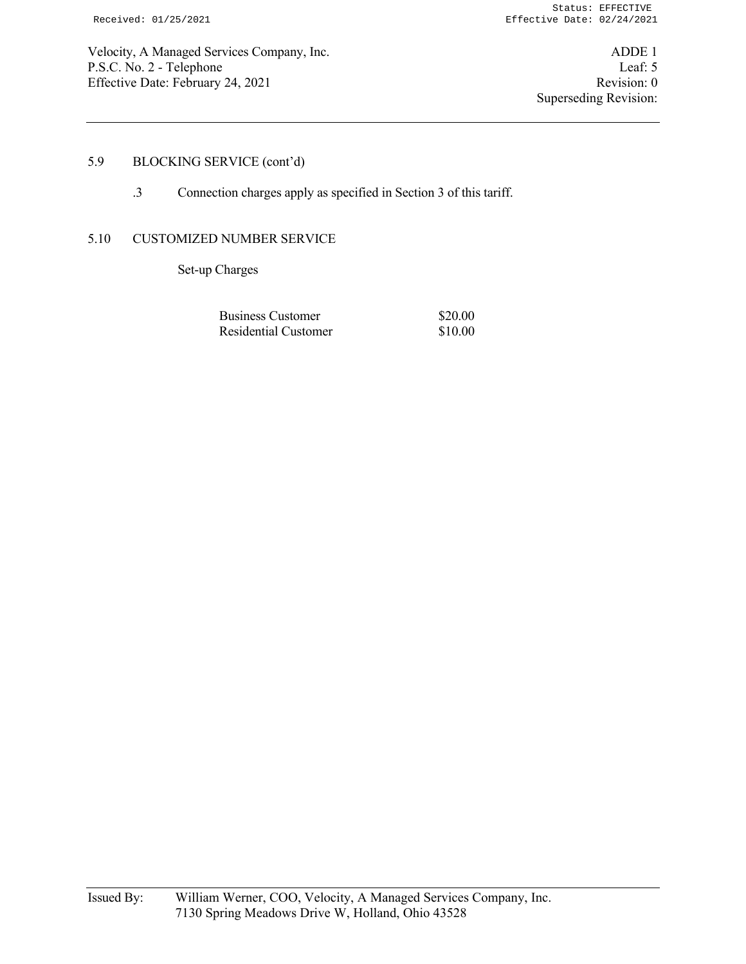Velocity, A Managed Services Company, Inc. ADDE 1 P.S.C. No. 2 - Telephone Leaf: 5<br>
Effective Date: February 24, 2021 Effective Date: February 24, 2021

# 5.9 BLOCKING SERVICE (cont'd)

.3 Connection charges apply as specified in Section 3 of this tariff.

#### 5.10 CUSTOMIZED NUMBER SERVICE

Set-up Charges

| Business Customer    | \$20.00 |
|----------------------|---------|
| Residential Customer | \$10.00 |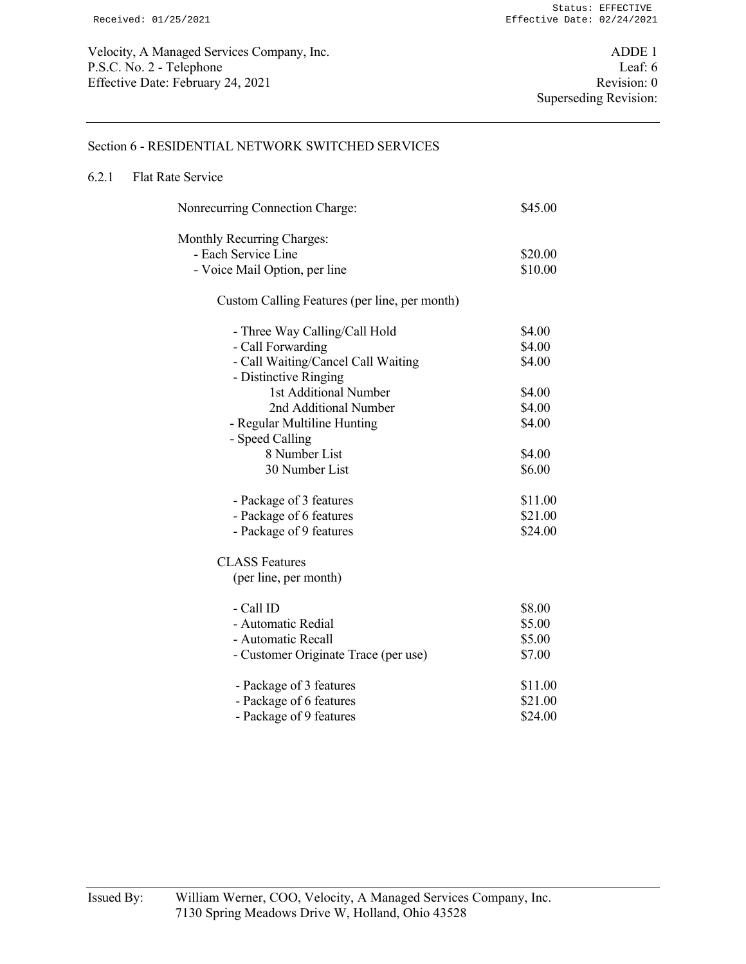#### Section 6 - RESIDENTIAL NETWORK SWITCHED SERVICES

## 6.2.1 Flat Rate Service

| Nonrecurring Connection Charge:               | \$45.00 |
|-----------------------------------------------|---------|
| Monthly Recurring Charges:                    |         |
| - Each Service Line                           | \$20.00 |
| - Voice Mail Option, per line                 | \$10.00 |
| Custom Calling Features (per line, per month) |         |
| - Three Way Calling/Call Hold                 | \$4.00  |
| - Call Forwarding                             | \$4.00  |
| - Call Waiting/Cancel Call Waiting            | \$4.00  |
| - Distinctive Ringing                         |         |
| 1st Additional Number                         | \$4.00  |
| 2nd Additional Number                         | \$4.00  |
| - Regular Multiline Hunting                   | \$4.00  |
| - Speed Calling                               |         |
| 8 Number List                                 | \$4.00  |
| 30 Number List                                | \$6.00  |
| - Package of 3 features                       | \$11.00 |
| - Package of 6 features                       | \$21.00 |
| - Package of 9 features                       | \$24.00 |
| <b>CLASS Features</b>                         |         |
| (per line, per month)                         |         |
| - Call ID                                     | \$8.00  |
| - Automatic Redial                            | \$5.00  |
| - Automatic Recall                            | \$5.00  |
| - Customer Originate Trace (per use)          | \$7.00  |
| - Package of 3 features                       | \$11.00 |
| - Package of 6 features                       | \$21.00 |
| - Package of 9 features                       | \$24.00 |
|                                               |         |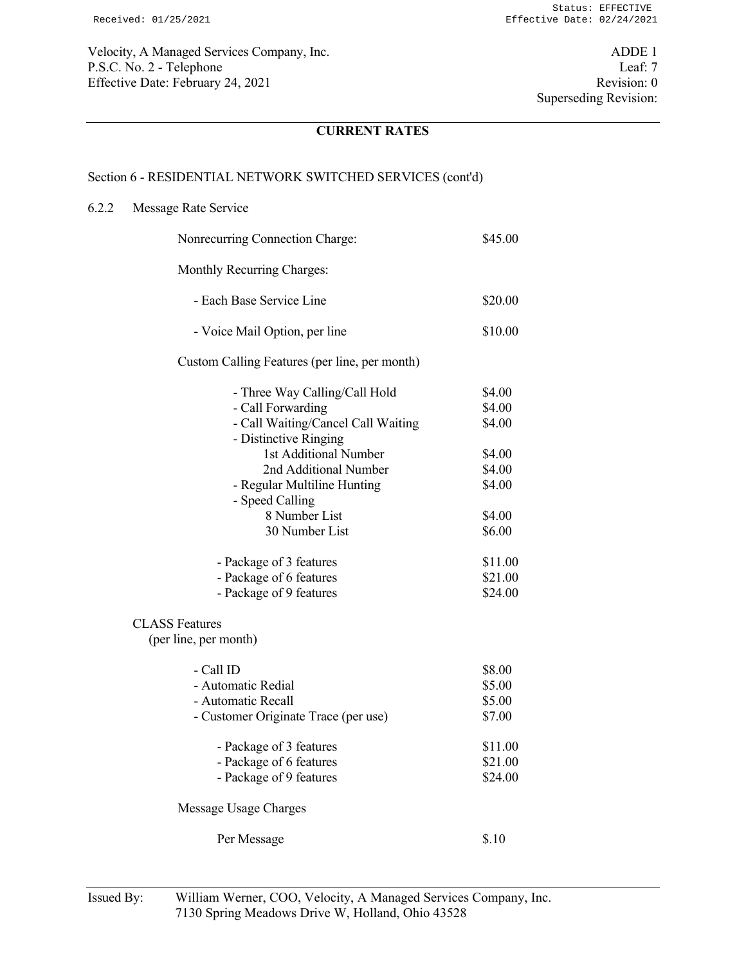Velocity, A Managed Services Company, Inc. ADDE 1 P.S.C. No. 2 - Telephone Leaf: 7<br>Effective Date: February 24, 2021 Revision: 0 Effective Date: February 24, 2021

# **CURRENT RATES**

#### Section 6 - RESIDENTIAL NETWORK SWITCHED SERVICES (cont'd)

## 6.2.2 Message Rate Service

| Nonrecurring Connection Charge:                                                                                                                                                                                                                                                                                                           | \$45.00                                                                                                       |
|-------------------------------------------------------------------------------------------------------------------------------------------------------------------------------------------------------------------------------------------------------------------------------------------------------------------------------------------|---------------------------------------------------------------------------------------------------------------|
| Monthly Recurring Charges:                                                                                                                                                                                                                                                                                                                |                                                                                                               |
| - Each Base Service Line                                                                                                                                                                                                                                                                                                                  | \$20.00                                                                                                       |
| - Voice Mail Option, per line                                                                                                                                                                                                                                                                                                             | \$10.00                                                                                                       |
| Custom Calling Features (per line, per month)                                                                                                                                                                                                                                                                                             |                                                                                                               |
| - Three Way Calling/Call Hold<br>- Call Forwarding<br>- Call Waiting/Cancel Call Waiting<br>- Distinctive Ringing<br>1st Additional Number<br>2nd Additional Number<br>- Regular Multiline Hunting<br>- Speed Calling<br>8 Number List<br>30 Number List<br>- Package of 3 features<br>- Package of 6 features<br>- Package of 9 features | \$4.00<br>\$4.00<br>\$4.00<br>\$4.00<br>\$4.00<br>\$4.00<br>\$4.00<br>\$6.00<br>\$11.00<br>\$21.00<br>\$24.00 |
| <b>CLASS Features</b>                                                                                                                                                                                                                                                                                                                     |                                                                                                               |
| (per line, per month)<br>- Call ID<br>- Automatic Redial<br>- Automatic Recall<br>- Customer Originate Trace (per use)                                                                                                                                                                                                                    | \$8.00<br>\$5.00<br>\$5.00<br>\$7.00                                                                          |
| - Package of 3 features<br>- Package of 6 features<br>- Package of 9 features                                                                                                                                                                                                                                                             | \$11.00<br>\$21.00<br>\$24.00                                                                                 |
| Message Usage Charges                                                                                                                                                                                                                                                                                                                     |                                                                                                               |
| Per Message                                                                                                                                                                                                                                                                                                                               | \$.10                                                                                                         |
|                                                                                                                                                                                                                                                                                                                                           |                                                                                                               |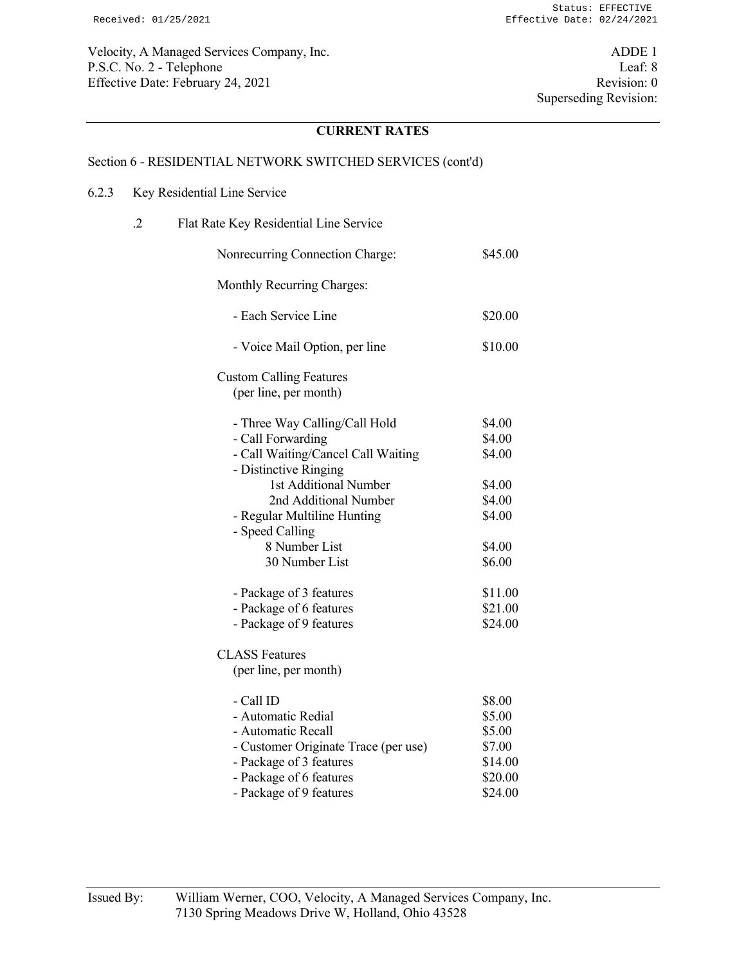Velocity, A Managed Services Company, Inc. ADDE 1 P.S.C. No. 2 - Telephone Leaf: 8 Effective Date: February 24, 2021 Revision: 0

# **CURRENT RATES**

#### Section 6 - RESIDENTIAL NETWORK SWITCHED SERVICES (cont'd)

#### 6.2.3 Key Residential Line Service

 .2 Flat Rate Key Residential Line Service Nonrecurring Connection Charge: \$45.00 Monthly Recurring Charges: - Each Service Line \$20.00 - Voice Mail Option, per line \$10.00 Custom Calling Features (per line, per month) - Three Way Calling/Call Hold \$4.00 - Call Forwarding \$4.00 - Call Waiting/Cancel Call Waiting \$4.00 - Distinctive Ringing 1st Additional Number \$4.00 2nd Additional Number \$4.00 - Regular Multiline Hunting \$4.00 - Speed Calling 8 Number List \$4.00 30 Number List \$6.00 - Package of 3 features \$11.00 - Package of 6 features \$21.00 - Package of 9 features \$24.00 CLASS Features (per line, per month)  $-$  Call ID  $$8.00$ - Automatic Redial \$5.00 - Automatic Recall \$5.00 - Customer Originate Trace (per use) \$7.00 - Package of 3 features \$14.00 - Package of 6 features \$20.00 - Package of 9 features \$24.00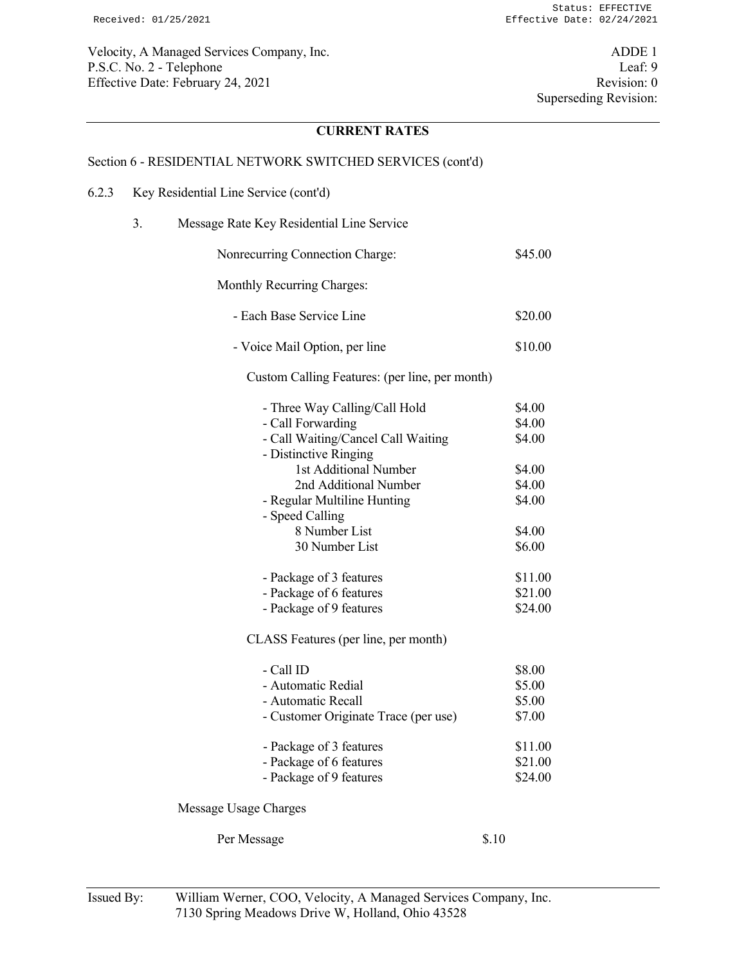Velocity, A Managed Services Company, Inc. ADDE 1 P.S.C. No. 2 - Telephone Leaf: 9<br>
Effective Date: February 24, 2021<br>
Revision: 0 Effective Date: February 24, 2021

# **CURRENT RATES**

#### Section 6 - RESIDENTIAL NETWORK SWITCHED SERVICES (cont'd)

- 6.2.3 Key Residential Line Service (cont'd)
	- 3. Message Rate Key Residential Line Service

| Nonrecurring Connection Charge:                                                                                                                                                                                                                          | \$45.00                                                                      |
|----------------------------------------------------------------------------------------------------------------------------------------------------------------------------------------------------------------------------------------------------------|------------------------------------------------------------------------------|
| Monthly Recurring Charges:                                                                                                                                                                                                                               |                                                                              |
| - Each Base Service Line                                                                                                                                                                                                                                 | \$20.00                                                                      |
| - Voice Mail Option, per line                                                                                                                                                                                                                            | \$10.00                                                                      |
| Custom Calling Features: (per line, per month)                                                                                                                                                                                                           |                                                                              |
| - Three Way Calling/Call Hold<br>- Call Forwarding<br>- Call Waiting/Cancel Call Waiting<br>- Distinctive Ringing<br>1st Additional Number<br>2nd Additional Number<br>- Regular Multiline Hunting<br>- Speed Calling<br>8 Number List<br>30 Number List | \$4.00<br>\$4.00<br>\$4.00<br>\$4.00<br>\$4.00<br>\$4.00<br>\$4.00<br>\$6.00 |
| - Package of 3 features<br>- Package of 6 features<br>- Package of 9 features                                                                                                                                                                            | \$11.00<br>\$21.00<br>\$24.00                                                |

CLASS Features (per line, per month)

| - Call ID<br>- Automatic Redial<br>- Automatic Recall<br>- Customer Originate Trace (per use) | \$8.00<br>\$5.00<br>\$5.00<br>\$7.00 |
|-----------------------------------------------------------------------------------------------|--------------------------------------|
| - Package of 3 features<br>- Package of 6 features<br>- Package of 9 features                 | \$11.00<br>\$21.00<br>\$24.00        |

Message Usage Charges

Per Message \$.10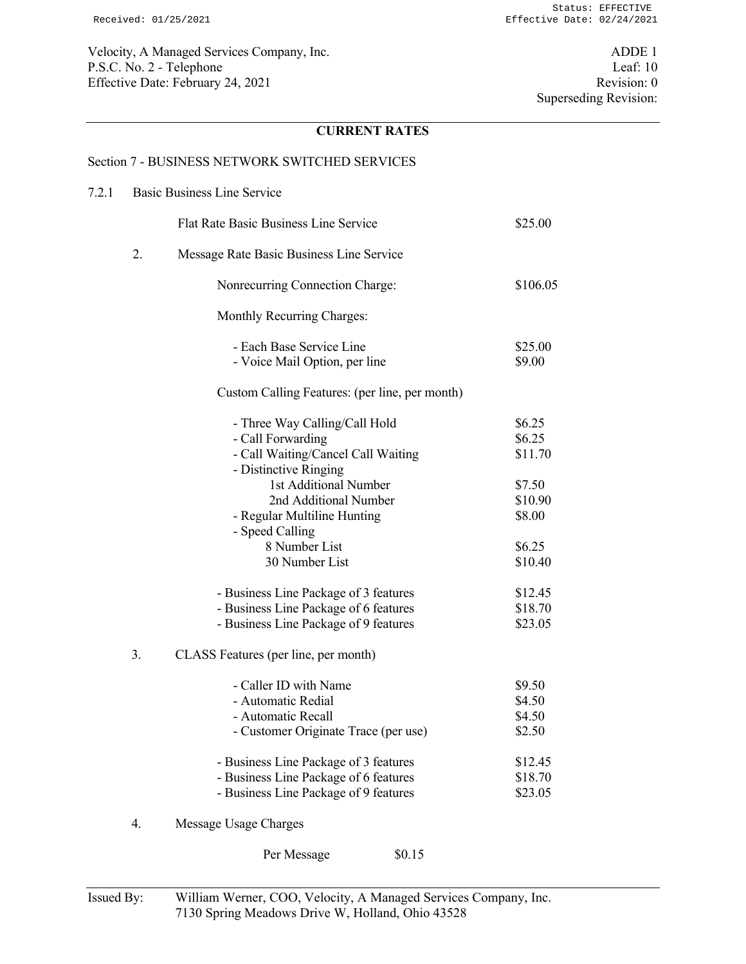Velocity, A Managed Services Company, Inc. ADDE 1 P.S.C. No. 2 - Telephone Leaf: 10 Effective Date: February 24, 2021 Revision: 0

# **CURRENT RATES**

#### Section 7 - BUSINESS NETWORK SWITCHED SERVICES

# 7.2.1 Basic Business Line Service Flat Rate Basic Business Line Service \$25.00 2. Message Rate Basic Business Line Service Nonrecurring Connection Charge:  $$106.05$  Monthly Recurring Charges: - Each Base Service Line \$25.00 - Voice Mail Option, per line \$9.00 Custom Calling Features: (per line, per month) - Three Way Calling/Call Hold \$6.25 - Call Forwarding  $\$6.25$ - Call Waiting/Cancel Call Waiting \$11.70 - Distinctive Ringing 1st Additional Number \$7.50 2nd Additional Number \$10.90 - Regular Multiline Hunting \$8.00 - Speed Calling 8 Number List \$6.25 30 Number List \$10.40 - Business Line Package of 3 features \$12.45 - Business Line Package of 6 features \$18.70 - Business Line Package of 9 features \$23.05 3. CLASS Features (per line, per month) - Caller ID with Name \$9.50 - Automatic Redial \$4.50 - Automatic Recall \$4.50 - Customer Originate Trace (per use) \$2.50 - Business Line Package of 3 features \$12.45 - Business Line Package of 6 features \$18.70 - Business Line Package of 9 features \$23.05 4. Message Usage Charges

Per Message \$0.15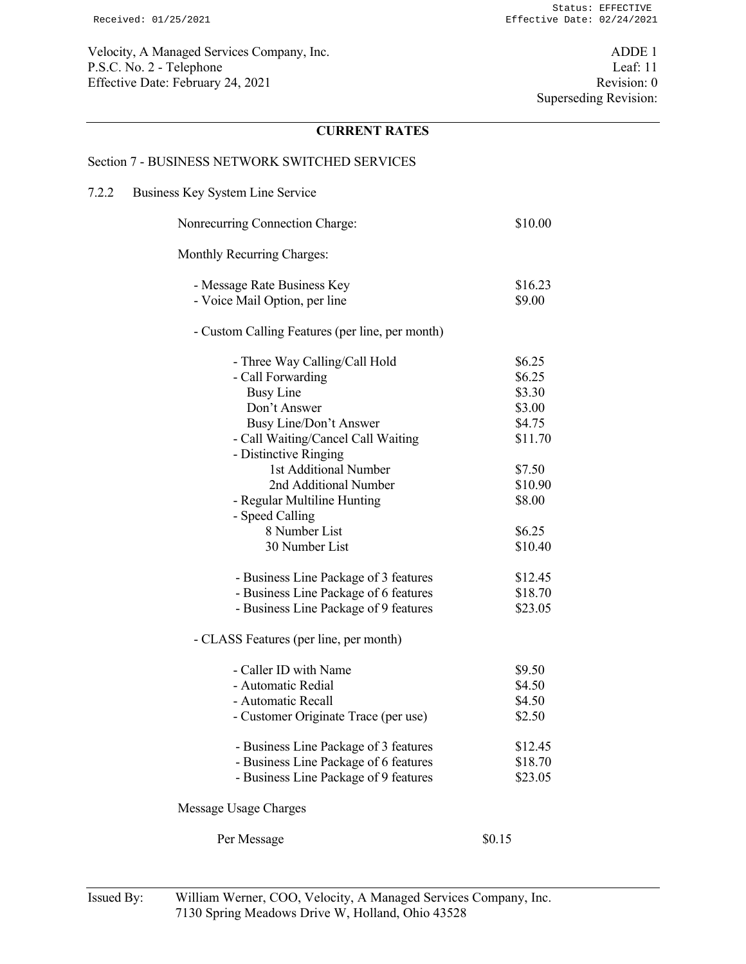Velocity, A Managed Services Company, Inc. ADDE 1 P.S.C. No. 2 - Telephone Leaf: 11 Effective Date: February 24, 2021 Revision: 0

## **CURRENT RATES**

#### Section 7 - BUSINESS NETWORK SWITCHED SERVICES

# 7.2.2 Business Key System Line Service Nonrecurring Connection Charge: \$10.00 Monthly Recurring Charges: - Message Rate Business Key \$16.23 - Voice Mail Option, per line \$9.00 - Custom Calling Features (per line, per month) - Three Way Calling/Call Hold \$6.25 - Call Forwarding  $\$6.25$ Busy Line \$3.30 Don't Answer \$3.00 Busy Line/Don't Answer \$4.75 - Call Waiting/Cancel Call Waiting \$11.70 - Distinctive Ringing 1st Additional Number \$7.50 2nd Additional Number \$10.90 - Regular Multiline Hunting \$8.00 - Speed Calling 8 Number List \$6.25 30 Number List \$10.40 - Business Line Package of 3 features \$12.45 - Business Line Package of 6 features \$18.70 - Business Line Package of 9 features \$23.05 - CLASS Features (per line, per month) - Caller ID with Name  $$9.50$ - Automatic Redial \$4.50 - Automatic Recall \$4.50 - Customer Originate Trace (per use) \$2.50 - Business Line Package of 3 features \$12.45 - Business Line Package of 6 features \$18.70 - Business Line Package of 9 features \$23.05 Message Usage Charges Per Message  $\$0.15$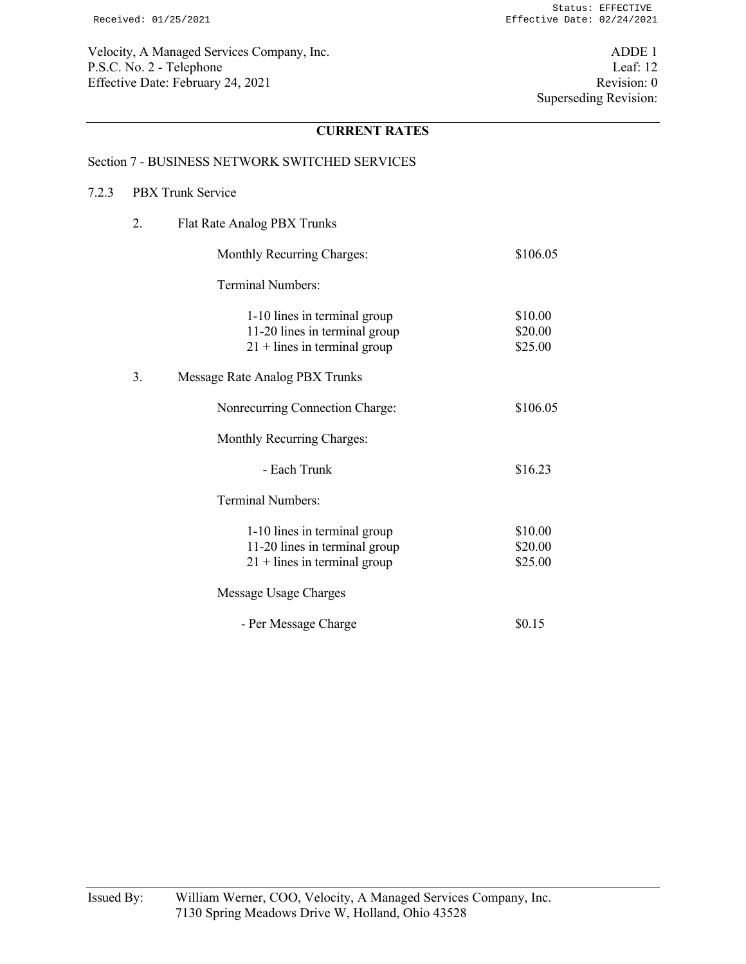Velocity, A Managed Services Company, Inc. ADDE 1 P.S.C. No. 2 - Telephone Leaf: 12 Effective Date: February 24, 2021 Revision: 0

## **CURRENT RATES**

#### Section 7 - BUSINESS NETWORK SWITCHED SERVICES

#### 7.2.3 PBX Trunk Service

 2. Flat Rate Analog PBX Trunks Monthly Recurring Charges:  $$106.05$  Terminal Numbers: 1-10 lines in terminal group \$10.00 11-20 lines in terminal group \$20.00  $21 +$  lines in terminal group \$25.00 3. Message Rate Analog PBX Trunks Nonrecurring Connection Charge: \$106.05 Monthly Recurring Charges: - Each Trunk \$16.23 Terminal Numbers: 1-10 lines in terminal group \$10.00 11-20 lines in terminal group \$20.00  $21 +$  lines in terminal group \$25.00 Message Usage Charges - Per Message Charge  $\$0.15$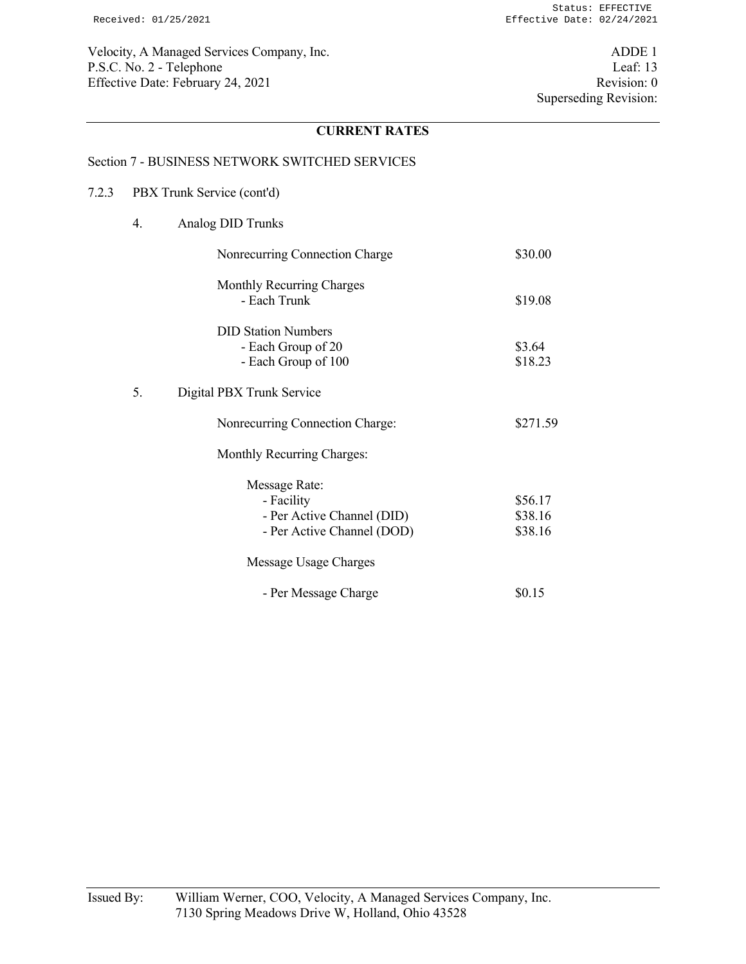Velocity, A Managed Services Company, Inc. ADDE 1 P.S.C. No. 2 - Telephone Leaf: 13<br>Effective Date: February 24, 2021 Revision: 0 Effective Date: February 24, 2021

# **CURRENT RATES**

## Section 7 - BUSINESS NETWORK SWITCHED SERVICES

## 7.2.3 PBX Trunk Service (cont'd)

4. Analog DID Trunks

|    | Nonrecurring Connection Charge                                                          | \$30.00                       |
|----|-----------------------------------------------------------------------------------------|-------------------------------|
|    | Monthly Recurring Charges<br>- Each Trunk                                               | \$19.08                       |
|    | <b>DID Station Numbers</b><br>- Each Group of 20<br>- Each Group of 100                 | \$3.64<br>\$18.23             |
| 5. | Digital PBX Trunk Service                                                               |                               |
|    | Nonrecurring Connection Charge:                                                         | \$271.59                      |
|    | Monthly Recurring Charges:                                                              |                               |
|    | Message Rate:<br>- Facility<br>- Per Active Channel (DID)<br>- Per Active Channel (DOD) | \$56.17<br>\$38.16<br>\$38.16 |
|    | Message Usage Charges                                                                   |                               |
|    | - Per Message Charge                                                                    | \$0.15                        |